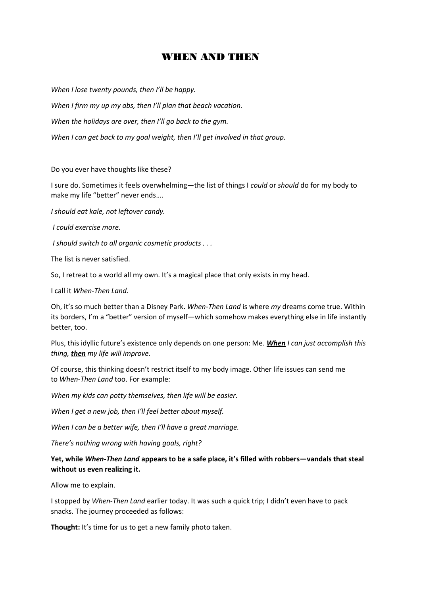## WHEN AND THEM

*When I lose twenty pounds, then I'll be happy.*

*When I firm my up my abs, then I'll plan that beach vacation.*

*When the holidays are over, then I'll go back to the gym.*

*When I can get back to my goal weight, then I'll get involved in that group.*

Do you ever have thoughts like these?

I sure do. Sometimes it feels overwhelming—the list of things I *could* or *should* do for my body to make my life "better" never ends….

*I should eat kale, not leftover candy.*

*I could exercise more.*

*I should switch to all organic cosmetic products . . .*

The list is never satisfied.

So, I retreat to a world all my own. It's a magical place that only exists in my head.

I call it *When-Then Land.*

Oh, it's so much better than a Disney Park. *When-Then Land* is where *my* dreams come true. Within its borders, I'm a "better" version of myself—which somehow makes everything else in life instantly better, too.

Plus, this idyllic future's existence only depends on one person: Me. *When I can just accomplish this thing, then my life will improve.*

Of course, this thinking doesn't restrict itself to my body image. Other life issues can send me to *When-Then Land* too. For example:

*When my kids can potty themselves, then life will be easier.*

*When I get a new job, then I'll feel better about myself.*

*When I can be a better wife, then I'll have a great marriage.*

*There's nothing wrong with having goals, right?*

**Yet, while** *When-Then Land* **appears to be a safe place, it's filled with robbers—vandals that steal without us even realizing it.**

Allow me to explain.

I stopped by *When-Then Land* earlier today. It was such a quick trip; I didn't even have to pack snacks. The journey proceeded as follows:

**Thought:** It's time for us to get a new family photo taken.